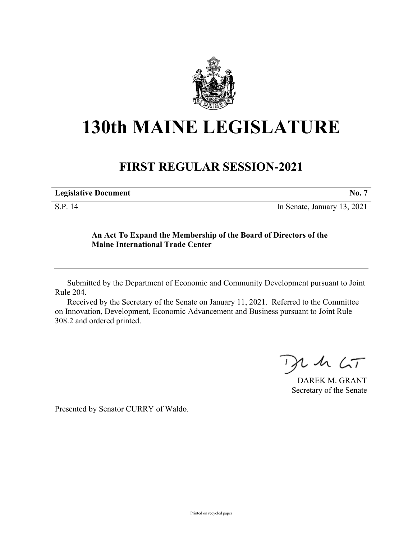

## **130th MAINE LEGISLATURE**

## **FIRST REGULAR SESSION-2021**

| <b>Legislative Document</b> | No.                         |
|-----------------------------|-----------------------------|
| S.P. 14                     | In Senate, January 13, 2021 |

## **An Act To Expand the Membership of the Board of Directors of the Maine International Trade Center**

Submitted by the Department of Economic and Community Development pursuant to Joint Rule 204.

Received by the Secretary of the Senate on January 11, 2021. Referred to the Committee on Innovation, Development, Economic Advancement and Business pursuant to Joint Rule 308.2 and ordered printed.

 $425$ 

DAREK M. GRANT Secretary of the Senate

Presented by Senator CURRY of Waldo.